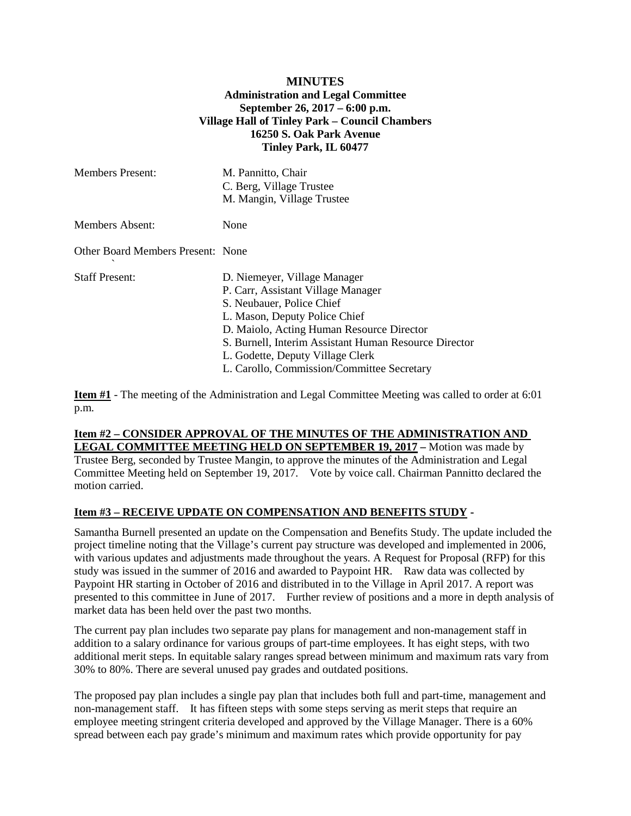### **MINUTES Administration and Legal Committee September 26, 2017 – 6:00 p.m. Village Hall of Tinley Park – Council Chambers 16250 S. Oak Park Avenue Tinley Park, IL 60477**

| <b>Members Present:</b>           | M. Pannitto, Chair<br>C. Berg, Village Trustee<br>M. Mangin, Village Trustee                                                                                                                                                                                                                                             |
|-----------------------------------|--------------------------------------------------------------------------------------------------------------------------------------------------------------------------------------------------------------------------------------------------------------------------------------------------------------------------|
| <b>Members Absent:</b>            | None                                                                                                                                                                                                                                                                                                                     |
| Other Board Members Present: None |                                                                                                                                                                                                                                                                                                                          |
| <b>Staff Present:</b>             | D. Niemeyer, Village Manager<br>P. Carr, Assistant Village Manager<br>S. Neubauer, Police Chief<br>L. Mason, Deputy Police Chief<br>D. Maiolo, Acting Human Resource Director<br>S. Burnell, Interim Assistant Human Resource Director<br>L. Godette, Deputy Village Clerk<br>L. Carollo, Commission/Committee Secretary |

**Item #1** - The meeting of the Administration and Legal Committee Meeting was called to order at 6:01 p.m.

### **Item #2 – CONSIDER APPROVAL OF THE MINUTES OF THE ADMINISTRATION AND LEGAL COMMITTEE MEETING HELD ON SEPTEMBER 19, 2017 –** Motion was made by

Trustee Berg, seconded by Trustee Mangin, to approve the minutes of the Administration and Legal Committee Meeting held on September 19, 2017. Vote by voice call. Chairman Pannitto declared the motion carried.

### **Item #3 – RECEIVE UPDATE ON COMPENSATION AND BENEFITS STUDY -**

Samantha Burnell presented an update on the Compensation and Benefits Study. The update included the project timeline noting that the Village's current pay structure was developed and implemented in 2006, with various updates and adjustments made throughout the years. A Request for Proposal (RFP) for this study was issued in the summer of 2016 and awarded to Paypoint HR. Raw data was collected by Paypoint HR starting in October of 2016 and distributed in to the Village in April 2017. A report was presented to this committee in June of 2017. Further review of positions and a more in depth analysis of market data has been held over the past two months.

The current pay plan includes two separate pay plans for management and non-management staff in addition to a salary ordinance for various groups of part-time employees. It has eight steps, with two additional merit steps. In equitable salary ranges spread between minimum and maximum rats vary from 30% to 80%. There are several unused pay grades and outdated positions.

The proposed pay plan includes a single pay plan that includes both full and part-time, management and non-management staff. It has fifteen steps with some steps serving as merit steps that require an employee meeting stringent criteria developed and approved by the Village Manager. There is a 60% spread between each pay grade's minimum and maximum rates which provide opportunity for pay